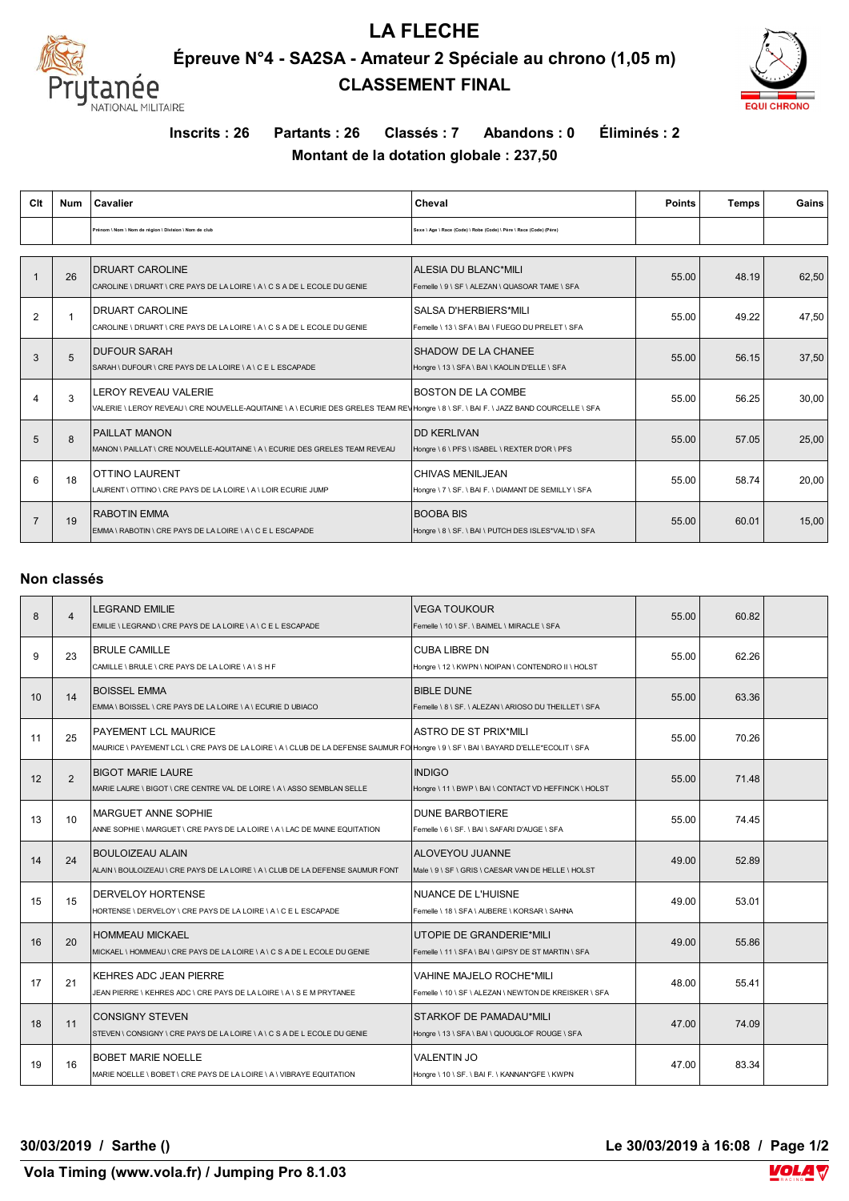

## **LA FLECHE Épreuve N°4 - SA2SA - Amateur 2 Spéciale au chrono (1,05 m) CLASSEMENT FINAL**



**Inscrits : 26 Partants : 26 Classés : 7 Abandons : 0 Éliminés : 2**

**Montant de la dotation globale : 237,50**

| Clt            | <b>Num</b> | Cavalier                                                                                                                                                             | Cheval                                                                    | <b>Points</b> | <b>Temps</b> | Gains |
|----------------|------------|----------------------------------------------------------------------------------------------------------------------------------------------------------------------|---------------------------------------------------------------------------|---------------|--------------|-------|
|                |            | Prénom \ Nom \ Nom de région \ Division \ Nom de club                                                                                                                | Sexe \ Age \ Race (Code) \ Robe (Code) \ Père \ Race (Code) (Père)        |               |              |       |
|                | 26         | <b>DRUART CAROLINE</b><br>CAROLINE \ DRUART \ CRE PAYS DE LA LOIRE \ A \ C S A DE L ECOLE DU GENIE                                                                   | ALESIA DU BLANC*MILI<br>Femelle \ 9 \ SF \ ALEZAN \ QUASOAR TAME \ SFA    | 55.00         | 48.19        | 62,50 |
| 2              |            | <b>DRUART CAROLINE</b><br>CAROLINE \ DRUART \ CRE PAYS DE LA LOIRE \ A \ C S A DE L ECOLE DU GENIE                                                                   | SALSA D'HERBIERS*MILI<br>Femelle \13 \SFA \BAI \FUEGO DU PRELET \SFA      | 55.00         | 49.22        | 47,50 |
| 3              | 5          | <b>DUFOUR SARAH</b><br>SARAH \ DUFOUR \ CRE PAYS DE LA LOIRE \ A \ C E L ESCAPADE                                                                                    | SHADOW DE LA CHANEE<br>Hongre \ 13 \ SFA \ BAI \ KAOLIN D'ELLE \ SFA      | 55.00         | 56.15        | 37,50 |
| $\overline{4}$ | 3          | <b>LEROY REVEAU VALERIE</b><br>VALERIE \LEROY REVEAU \ CRE NOUVELLE-AQUITAINE \ A \ ECURIE DES GRELES TEAM REV Hongre \ 8 \ SF. \ BAI F. \ JAZZ BAND COURCELLE \ SFA | <b>BOSTON DE LA COMBE</b>                                                 | 55.00         | 56.25        | 30,00 |
| 5              | 8          | <b>PAILLAT MANON</b><br>MANON \ PAILLAT \ CRE NOUVELLE-AQUITAINE \ A \ ECURIE DES GRELES TEAM REVEAU                                                                 | <b>DD KERLIVAN</b><br>Hongre \ 6 \ PFS \ ISABEL \ REXTER D'OR \ PFS       | 55.00         | 57.05        | 25,00 |
| 6              | 18         | <b>OTTINO LAURENT</b><br>LAURENT \ OTTINO \ CRE PAYS DE LA LOIRE \ A \ LOIR ECURIE JUMP                                                                              | CHIVAS MENILJEAN<br>Hongre \ 7 \ SF. \ BAI F. \ DIAMANT DE SEMILLY \ SFA  | 55.00         | 58.74        | 20,00 |
| $\overline{7}$ | 19         | <b>RABOTIN EMMA</b><br>EMMA \ RABOTIN \ CRE PAYS DE LA LOIRE \ A \ C E L ESCAPADE                                                                                    | <b>BOOBA BIS</b><br>Hongre \ 8 \ SF. \ BAI \ PUTCH DES ISLES*VAL'ID \ SFA | 55.00         | 60.01        | 15,00 |

## **Non classés**

| 8  | $\overline{4}$ | <b>LEGRAND EMILIE</b><br>EMILIE \ LEGRAND \ CRE PAYS DE LA LOIRE \ A \ C E L ESCAPADE                                                                       | <b>VEGA TOUKOUR</b><br>Femelle \ 10 \ SF. \ BAIMEL \ MIRACLE \ SFA                       | 55.00 | 60.82 |  |
|----|----------------|-------------------------------------------------------------------------------------------------------------------------------------------------------------|------------------------------------------------------------------------------------------|-------|-------|--|
| 9  | 23             | <b>BRULE CAMILLE</b><br>CAMILLE \ BRULE \ CRE PAYS DE LA LOIRE \ A \ S H F                                                                                  | <b>CUBA LIBRE DN</b><br>Hongre \ 12 \ KWPN \ NOIPAN \ CONTENDRO II \ HOLST               | 55.00 | 62.26 |  |
| 10 | 14             | <b>BOISSEL EMMA</b><br>EMMA \ BOISSEL \ CRE PAYS DE LA LOIRE \ A \ ECURIE D UBIACO                                                                          | <b>BIBLE DUNE</b><br>Femelle \ 8 \ SF, \ ALEZAN \ ARIOSO DU THEILLET \ SFA               | 55.00 | 63.36 |  |
| 11 | 25             | PAYEMENT LCL MAURICE<br>MAURICE \ PAYEMENT LCL \ CRE PAYS DE LA LOIRE \ A \ CLUB DE LA DEFENSE SAUMUR FO Hongre \ 9 \ SF \ BAI \ BAYARD D'ELLE*ECOLIT \ SFA | ASTRO DE ST PRIX*MILI                                                                    | 55.00 | 70.26 |  |
| 12 | $\mathfrak{p}$ | <b>BIGOT MARIE LAURE</b><br>MARIE LAURE \ BIGOT \ CRE CENTRE VAL DE LOIRE \ A \ ASSO SEMBLAN SELLE                                                          | <b>INDIGO</b><br>Hongre \ 11 \ BWP \ BAI \ CONTACT VD HEFFINCK \ HOLST                   | 55.00 | 71.48 |  |
| 13 | 10             | <b>MARGUET ANNE SOPHIE</b><br>ANNE SOPHIE \ MARGUET \ CRE PAYS DE LA LOIRE \ A \ LAC DE MAINE EQUITATION                                                    | <b>DUNE BARBOTIERE</b><br>Femelle \ 6 \ SF, \ BAI \ SAFARI D'AUGE \ SFA                  | 55.00 | 74.45 |  |
| 14 | 24             | <b>BOULOIZEAU ALAIN</b><br>ALAIN \ BOULOIZEAU \ CRE PAYS DE LA LOIRE \ A \ CLUB DE LA DEFENSE SAUMUR FONT                                                   | <b>ALOVEYOU JUANNE</b><br>Male \ 9 \ SF \ GRIS \ CAESAR VAN DE HELLE \ HOLST             | 49.00 | 52.89 |  |
| 15 | 15             | <b>DERVELOY HORTENSE</b><br>HORTENSE \ DERVELOY \ CRE PAYS DE LA LOIRE \ A \ C E L ESCAPADE                                                                 | <b>NUANCE DE L'HUISNE</b><br>Femelle \ 18 \ SFA \ AUBERE \ KORSAR \ SAHNA                | 49.00 | 53.01 |  |
| 16 | 20             | <b>HOMMEAU MICKAEL</b><br>MICKAEL \ HOMMEAU \ CRE PAYS DE LA LOIRE \ A \ C S A DE L ECOLE DU GENIE                                                          | UTOPIE DE GRANDERIE*MILI<br>Femelle \11\SFA\BAI\GIPSYDE STMARTIN\SFA                     | 49.00 | 55.86 |  |
| 17 | 21             | <b>KEHRES ADC JEAN PIERRE</b><br>JEAN PIERRE \ KEHRES ADC \ CRE PAYS DE LA LOIRE \ A \ S E M PRYTANEE                                                       | <b>VAHINE MAJELO ROCHE*MILI</b><br>Femelle \ 10 \ SF \ ALEZAN \ NEWTON DE KREISKER \ SFA | 48.00 | 55.41 |  |
| 18 | 11             | <b>CONSIGNY STEVEN</b><br>STEVEN \ CONSIGNY \ CRE PAYS DE LA LOIRE \ A \ C S A DE L ECOLE DU GENIE                                                          | STARKOF DE PAMADAU*MILI<br>Hongre \ 13 \ SFA \ BAI \ QUOUGLOF ROUGE \ SFA                | 47.00 | 74.09 |  |
| 19 | 16             | <b>BOBET MARIE NOELLE</b><br>MARIE NOELLE \ BOBET \ CRE PAYS DE LA LOIRE \ A \ VIBRAYE EQUITATION                                                           | <b>VALENTIN JO</b><br>Hongre \ 10 \ SF. \ BAI F. \ KANNAN*GFE \ KWPN                     | 47.00 | 83.34 |  |

**30/03/2019 / Sarthe () Le 30/03/2019 à 16:08 / Page 1/2**